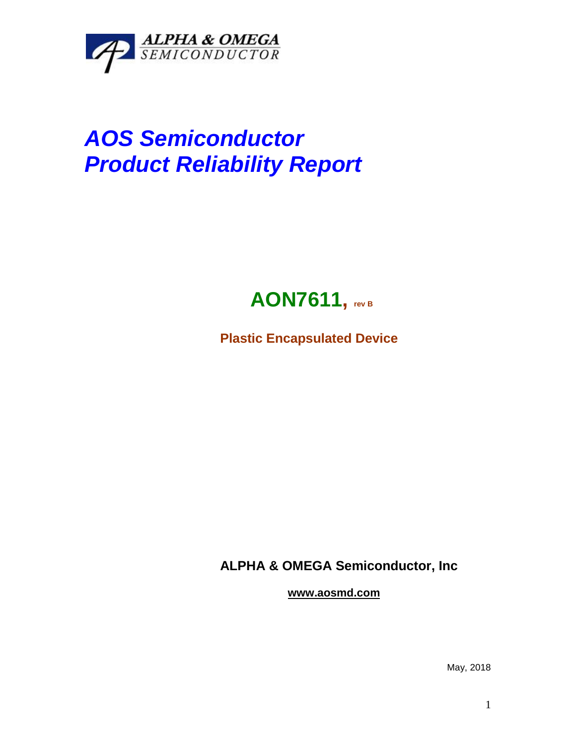

## *AOS Semiconductor Product Reliability Report*



**Plastic Encapsulated Device**

**ALPHA & OMEGA Semiconductor, Inc**

**www.aosmd.com**

May, 2018